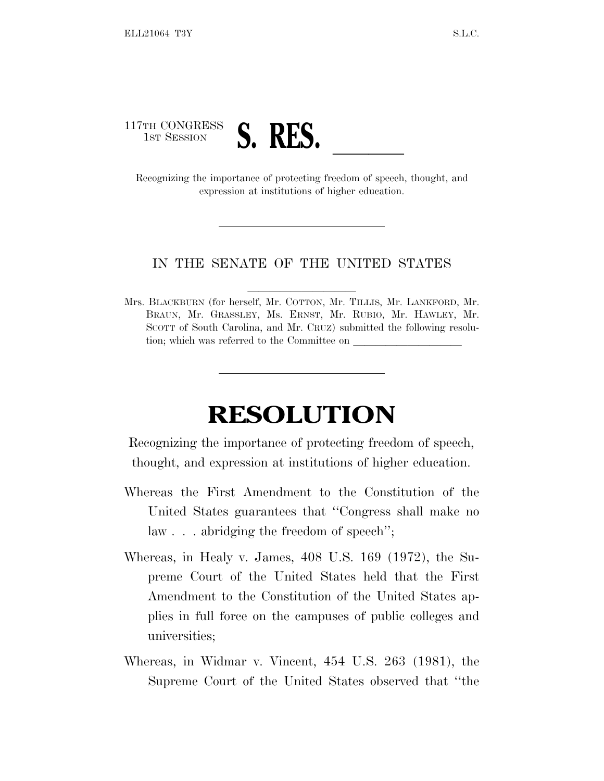

expression at institutions of higher education.

## IN THE SENATE OF THE UNITED STATES

Mrs. BLACKBURN (for herself, Mr. COTTON, Mr. TILLIS, Mr. LANKFORD, Mr. BRAUN, Mr. GRASSLEY, Ms. ERNST, Mr. RUBIO, Mr. HAWLEY, Mr. SCOTT of South Carolina, and Mr. CRUZ) submitted the following resolution; which was referred to the Committee on

## **RESOLUTION**

Recognizing the importance of protecting freedom of speech, thought, and expression at institutions of higher education.

- Whereas the First Amendment to the Constitution of the United States guarantees that ''Congress shall make no law . . . abridging the freedom of speech'';
- Whereas, in Healy v. James, 408 U.S. 169 (1972), the Supreme Court of the United States held that the First Amendment to the Constitution of the United States applies in full force on the campuses of public colleges and universities;
- Whereas, in Widmar v. Vincent, 454 U.S. 263 (1981), the Supreme Court of the United States observed that ''the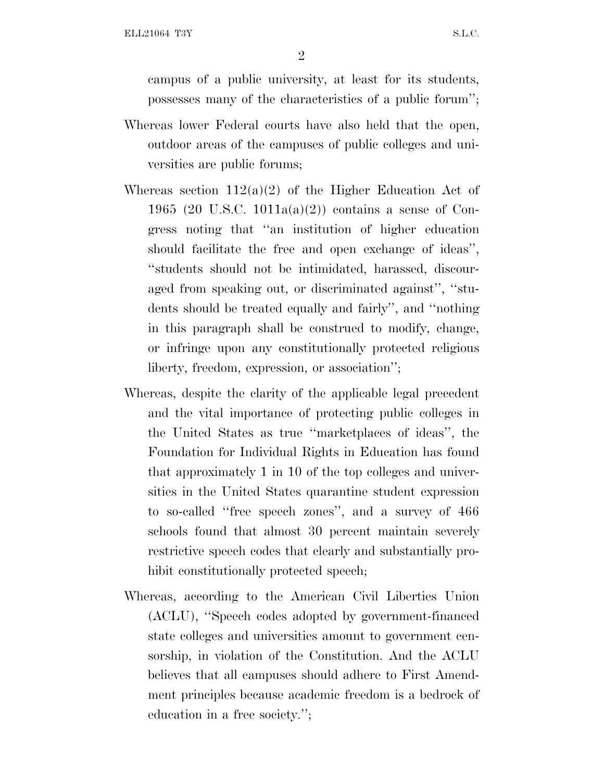campus of a public university, at least for its students, possesses many of the characteristics of a public forum'';

- Whereas lower Federal courts have also held that the open, outdoor areas of the campuses of public colleges and universities are public forums;
- Whereas section  $112(a)(2)$  of the Higher Education Act of 1965 (20 U.S.C. 1011a(a)(2)) contains a sense of Congress noting that ''an institution of higher education should facilitate the free and open exchange of ideas'', ''students should not be intimidated, harassed, discouraged from speaking out, or discriminated against'', ''students should be treated equally and fairly'', and ''nothing in this paragraph shall be construed to modify, change, or infringe upon any constitutionally protected religious liberty, freedom, expression, or association'';
- Whereas, despite the clarity of the applicable legal precedent and the vital importance of protecting public colleges in the United States as true ''marketplaces of ideas'', the Foundation for Individual Rights in Education has found that approximately 1 in 10 of the top colleges and universities in the United States quarantine student expression to so-called ''free speech zones'', and a survey of 466 schools found that almost 30 percent maintain severely restrictive speech codes that clearly and substantially prohibit constitutionally protected speech;
- Whereas, according to the American Civil Liberties Union (ACLU), ''Speech codes adopted by government-financed state colleges and universities amount to government censorship, in violation of the Constitution. And the ACLU believes that all campuses should adhere to First Amendment principles because academic freedom is a bedrock of education in a free society.'';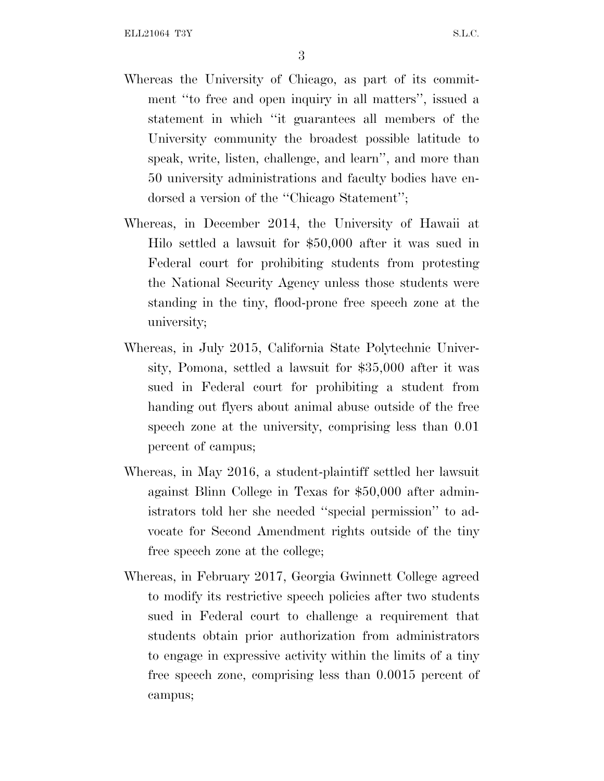3

- Whereas the University of Chicago, as part of its commitment ''to free and open inquiry in all matters'', issued a statement in which ''it guarantees all members of the University community the broadest possible latitude to speak, write, listen, challenge, and learn'', and more than 50 university administrations and faculty bodies have endorsed a version of the ''Chicago Statement'';
- Whereas, in December 2014, the University of Hawaii at Hilo settled a lawsuit for \$50,000 after it was sued in Federal court for prohibiting students from protesting the National Security Agency unless those students were standing in the tiny, flood-prone free speech zone at the university;
- Whereas, in July 2015, California State Polytechnic University, Pomona, settled a lawsuit for \$35,000 after it was sued in Federal court for prohibiting a student from handing out flyers about animal abuse outside of the free speech zone at the university, comprising less than 0.01 percent of campus;
- Whereas, in May 2016, a student-plaintiff settled her lawsuit against Blinn College in Texas for \$50,000 after administrators told her she needed ''special permission'' to advocate for Second Amendment rights outside of the tiny free speech zone at the college;
- Whereas, in February 2017, Georgia Gwinnett College agreed to modify its restrictive speech policies after two students sued in Federal court to challenge a requirement that students obtain prior authorization from administrators to engage in expressive activity within the limits of a tiny free speech zone, comprising less than 0.0015 percent of campus;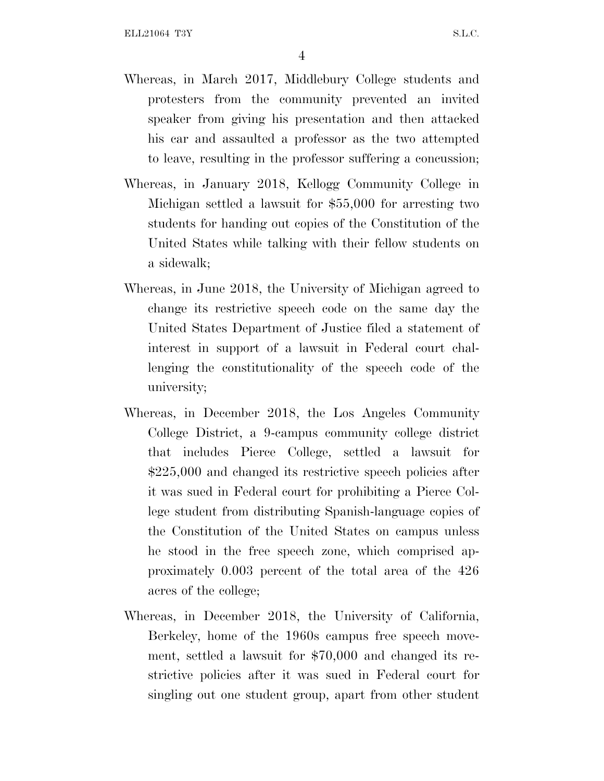- Whereas, in March 2017, Middlebury College students and protesters from the community prevented an invited speaker from giving his presentation and then attacked his car and assaulted a professor as the two attempted to leave, resulting in the professor suffering a concussion;
- Whereas, in January 2018, Kellogg Community College in Michigan settled a lawsuit for \$55,000 for arresting two students for handing out copies of the Constitution of the United States while talking with their fellow students on a sidewalk;
- Whereas, in June 2018, the University of Michigan agreed to change its restrictive speech code on the same day the United States Department of Justice filed a statement of interest in support of a lawsuit in Federal court challenging the constitutionality of the speech code of the university;
- Whereas, in December 2018, the Los Angeles Community College District, a 9-campus community college district that includes Pierce College, settled a lawsuit for \$225,000 and changed its restrictive speech policies after it was sued in Federal court for prohibiting a Pierce College student from distributing Spanish-language copies of the Constitution of the United States on campus unless he stood in the free speech zone, which comprised approximately 0.003 percent of the total area of the 426 acres of the college;
- Whereas, in December 2018, the University of California, Berkeley, home of the 1960s campus free speech movement, settled a lawsuit for \$70,000 and changed its restrictive policies after it was sued in Federal court for singling out one student group, apart from other student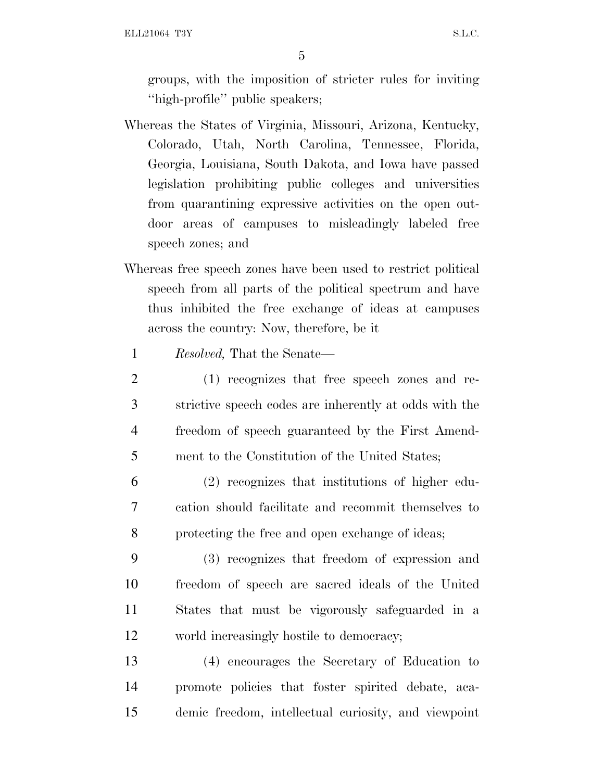ELL21064 T3Y S.L.C.

5

groups, with the imposition of stricter rules for inviting ''high-profile'' public speakers;

- Whereas the States of Virginia, Missouri, Arizona, Kentucky, Colorado, Utah, North Carolina, Tennessee, Florida, Georgia, Louisiana, South Dakota, and Iowa have passed legislation prohibiting public colleges and universities from quarantining expressive activities on the open outdoor areas of campuses to misleadingly labeled free speech zones; and
- Whereas free speech zones have been used to restrict political speech from all parts of the political spectrum and have thus inhibited the free exchange of ideas at campuses across the country: Now, therefore, be it
	- 1 *Resolved,* That the Senate—
- 2 (1) recognizes that free speech zones and re-3 strictive speech codes are inherently at odds with the 4 freedom of speech guaranteed by the First Amend-5 ment to the Constitution of the United States;
- 6 (2) recognizes that institutions of higher edu-7 cation should facilitate and recommit themselves to 8 protecting the free and open exchange of ideas;
- 9 (3) recognizes that freedom of expression and 10 freedom of speech are sacred ideals of the United 11 States that must be vigorously safeguarded in a 12 world increasingly hostile to democracy;
- 13 (4) encourages the Secretary of Education to 14 promote policies that foster spirited debate, aca-15 demic freedom, intellectual curiosity, and viewpoint